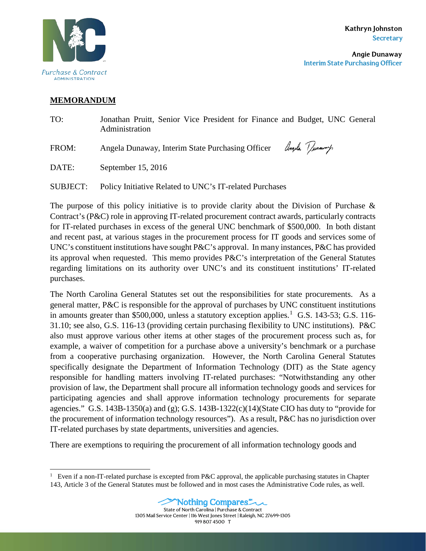

## **MEMORANDUM**

| TO:   | Jonathan Pruitt, Senior Vice President for Finance and Budget, UNC General<br>Administration |
|-------|----------------------------------------------------------------------------------------------|
| FROM: | Angela Dunaway, Interim State Purchasing Officer Amyla Tunaway                               |
| DATE: | September 15, 2016                                                                           |

SUBJECT: Policy Initiative Related to UNC's IT-related Purchases

The purpose of this policy initiative is to provide clarity about the Division of Purchase  $\&$ Contract's (P&C) role in approving IT-related procurement contract awards, particularly contracts for IT-related purchases in excess of the general UNC benchmark of \$500,000. In both distant and recent past, at various stages in the procurement process for IT goods and services some of UNC's constituent institutions have sought P&C's approval. In many instances, P&C has provided its approval when requested. This memo provides P&C's interpretation of the General Statutes regarding limitations on its authority over UNC's and its constituent institutions' IT-related purchases.

The North Carolina General Statutes set out the responsibilities for state procurements. As a general matter, P&C is responsible for the approval of purchases by UNC constituent institutions in amounts greater than \$500,000, unless a statutory exception applies.<sup>[1](#page-0-0)</sup> G.S. 143-53; G.S. 116-31.10; see also, G.S. 116-13 (providing certain purchasing flexibility to UNC institutions). P&C also must approve various other items at other stages of the procurement process such as, for example, a waiver of competition for a purchase above a university's benchmark or a purchase from a cooperative purchasing organization. However, the North Carolina General Statutes specifically designate the Department of Information Technology (DIT) as the State agency responsible for handling matters involving IT-related purchases: "Notwithstanding any other provision of law, the Department shall procure all information technology goods and services for participating agencies and shall approve information technology procurements for separate agencies." G.S. 143B-1350(a) and (g); G.S. 143B-1322(c)(14)(State CIO has duty to "provide for the procurement of information technology resources"). As a result, P&C has no jurisdiction over IT-related purchases by state departments, universities and agencies.

There are exemptions to requiring the procurement of all information technology goods and

<span id="page-0-0"></span><sup>|&</sup>lt;br>|<br>| <sup>1</sup> Even if a non-IT-related purchase is excepted from P&C approval, the applicable purchasing statutes in Chapter 143, Article 3 of the General Statutes must be followed and in most cases the Administrative Code rules, as well.



1305 Mail Service Center | 116 West Jones Street | Raleigh, NC 27699-1305

919 807 4500 T